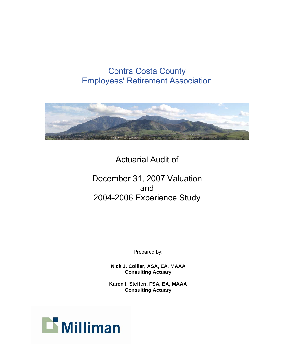# Contra Costa County Employees' Retirement Association



Actuarial Audit of

# December 31, 2007 Valuation and 2004-2006 Experience Study

Prepared by:

**Nick J. Collier, ASA, EA, MAAA Consulting Actuary** 

**Karen I. Steffen, FSA, EA, MAAA Consulting Actuary** 

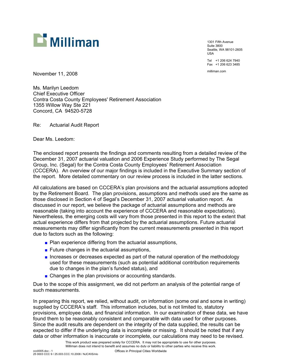

1301 Fifth Avenue Suite 3800 Seattle, WA 98101-2605 USA Tel +1 206 624 7940 Fax +1 206 623 3485

milliman.com

November 11, 2008

Ms. Marilyn Leedom Chief Executive Officer Contra Costa County Employees' Retirement Association 1355 Willow Way Ste 221 Concord, CA 94520-5728

Re: Actuarial Audit Report

Dear Ms. Leedom:

The enclosed report presents the findings and comments resulting from a detailed review of the December 31, 2007 actuarial valuation and 2006 Experience Study performed by The Segal Group, Inc. (Segal) for the Contra Costa County Employees' Retirement Association (CCCERA). An overview of our major findings is included in the Executive Summary section of the report. More detailed commentary on our review process is included in the latter sections.

All calculations are based on CCCERA's plan provisions and the actuarial assumptions adopted by the Retirement Board. The plan provisions, assumptions and methods used are the same as those disclosed in Section 4 of Segal's December 31, 2007 actuarial valuation report. As discussed in our report, we believe the package of actuarial assumptions and methods are reasonable (taking into account the experience of CCCERA and reasonable expectations). Nevertheless, the emerging costs will vary from those presented in this report to the extent that actual experience differs from that projected by the actuarial assumptions. Future actuarial measurements may differ significantly from the current measurements presented in this report due to factors such as the following:

- Plan experience differing from the actuarial assumptions,
- Future changes in the actuarial assumptions,
- Increases or decreases expected as part of the natural operation of the methodology used for these measurements (such as potential additional contribution requirements due to changes in the plan's funded status), and
- Changes in the plan provisions or accounting standards.

Due to the scope of this assignment, we did not perform an analysis of the potential range of such measurements.

In preparing this report, we relied, without audit, on information (some oral and some in writing) supplied by CCCERA's staff. This information includes, but is not limited to, statutory provisions, employee data, and financial information. In our examination of these data, we have found them to be reasonably consistent and comparable with data used for other purposes. Since the audit results are dependent on the integrity of the data supplied, the results can be expected to differ if the underlying data is incomplete or missing. It should be noted that if any data or other information is inaccurate or incomplete, our calculations may need to be revised.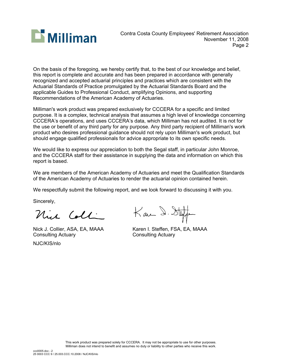

On the basis of the foregoing, we hereby certify that, to the best of our knowledge and belief, this report is complete and accurate and has been prepared in accordance with generally recognized and accepted actuarial principles and practices which are consistent with the Actuarial Standards of Practice promulgated by the Actuarial Standards Board and the applicable Guides to Professional Conduct, amplifying Opinions, and supporting Recommendations of the American Academy of Actuaries.

Milliman's work product was prepared exclusively for CCCERA for a specific and limited purpose. It is a complex, technical analysis that assumes a high level of knowledge concerning CCCERA's operations, and uses CCCERA's data, which Milliman has not audited. It is not for the use or benefit of any third party for any purpose. Any third party recipient of Milliman's work product who desires professional guidance should not rely upon Milliman's work product, but should engage qualified professionals for advice appropriate to its own specific needs.

We would like to express our appreciation to both the Segal staff, in particular John Monroe, and the CCCERA staff for their assistance in supplying the data and information on which this report is based.

We are members of the American Academy of Actuaries and meet the Qualification Standards of the American Academy of Actuaries to render the actuarial opinion contained herein.

We respectfully submit the following report, and we look forward to discussing it with you.

Sincerely,

Nich Colli

Consulting Actuary Consulting Actuary

NJC/KIS/nlo

Kan D. Steffen

Nick J. Collier, ASA, EA, MAAA Karen I. Steffen, FSA, EA, MAAA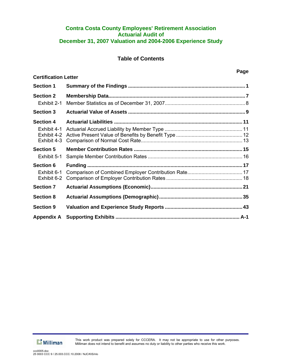# **Table of Contents**

**Page** 

| <b>Certification Letter</b> |  |
|-----------------------------|--|
| <b>Section 1</b>            |  |
| <b>Section 2</b>            |  |
| Exhibit 2-1                 |  |
| <b>Section 3</b>            |  |
| <b>Section 4</b>            |  |
| Exhibit 4-1                 |  |
| Exhibit 4-2                 |  |
| Exhibit 4-3                 |  |
| <b>Section 5</b>            |  |
| Exhibit 5-1                 |  |
| <b>Section 6</b>            |  |
| Exhibit 6-1                 |  |
| Exhibit 6-2                 |  |
| <b>Section 7</b>            |  |
| <b>Section 8</b>            |  |
| <b>Section 9</b>            |  |
| Appendix A                  |  |

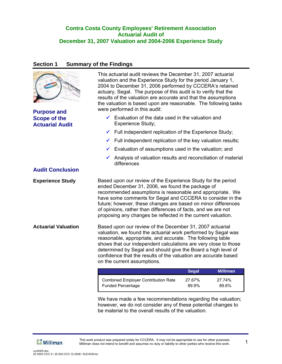# **Section 1 Summary of the Findings**

| <b>Purpose and</b>                            | This actuarial audit reviews the December 31, 2007 actuarial<br>valuation and the Experience Study for the period January 1,<br>2004 to December 31, 2006 performed by CCCERA's retained<br>actuary, Segal. The purpose of this audit is to verify that the<br>results of the valuation are accurate and that the assumptions<br>the valuation is based upon are reasonable. The following tasks<br>were performed in this audit:             |                 |                 |
|-----------------------------------------------|-----------------------------------------------------------------------------------------------------------------------------------------------------------------------------------------------------------------------------------------------------------------------------------------------------------------------------------------------------------------------------------------------------------------------------------------------|-----------------|-----------------|
| <b>Scope of the</b><br><b>Actuarial Audit</b> | $\checkmark$ Evaluation of the data used in the valuation and<br>Experience Study;                                                                                                                                                                                                                                                                                                                                                            |                 |                 |
|                                               | $\checkmark$ Full independent replication of the Experience Study;                                                                                                                                                                                                                                                                                                                                                                            |                 |                 |
|                                               | Full independent replication of the key valuation results;<br>$\checkmark$                                                                                                                                                                                                                                                                                                                                                                    |                 |                 |
|                                               | Evaluation of assumptions used in the valuation; and                                                                                                                                                                                                                                                                                                                                                                                          |                 |                 |
|                                               | Analysis of valuation results and reconciliation of material<br>$\checkmark$<br>differences                                                                                                                                                                                                                                                                                                                                                   |                 |                 |
| <b>Audit Conclusion</b>                       |                                                                                                                                                                                                                                                                                                                                                                                                                                               |                 |                 |
| <b>Experience Study</b>                       | Based upon our review of the Experience Study for the period<br>ended December 31, 2006, we found the package of<br>recommended assumptions is reasonable and appropriate. We<br>have some comments for Segal and CCCERA to consider in the<br>future; however, these changes are based on minor differences<br>of opinions, rather than differences of facts, and we are not<br>proposing any changes be reflected in the current valuation. |                 |                 |
| <b>Actuarial Valuation</b>                    | Based upon our review of the December 31, 2007 actuarial<br>valuation, we found the actuarial work performed by Segal was<br>reasonable, appropriate, and accurate. The following table<br>shows that our independent calculations are very close to those<br>determined by Segal and should give the Board a high level of<br>confidence that the results of the valuation are accurate based<br>on the current assumptions.                 |                 |                 |
|                                               |                                                                                                                                                                                                                                                                                                                                                                                                                                               | <b>Segal</b>    | <b>Milliman</b> |
|                                               | <b>Combined Employer Contribution Rate</b><br><b>Funded Percentage</b>                                                                                                                                                                                                                                                                                                                                                                        | 27.67%<br>89.9% | 27.74%<br>89.6% |

We have made a few recommendations regarding the valuation; however, we do not consider any of these potential changes to be material to the overall results of the valuation.

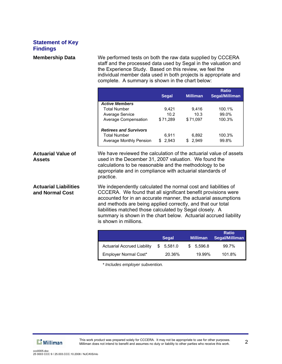# **Statement of Key Findings**

**Membership Data** We performed tests on both the raw data supplied by CCCERA staff and the processed data used by Segal in the valuation and the Experience Study. Based on this review, we feel the individual member data used in both projects is appropriate and complete. A summary is shown in the chart below:

**Ratio**

|                                                 |                                                                                                                                                                                                                                                                                                                                                                                                                           | <b>Segal</b> | <b>Milliman</b> | Segal/Milliman |
|-------------------------------------------------|---------------------------------------------------------------------------------------------------------------------------------------------------------------------------------------------------------------------------------------------------------------------------------------------------------------------------------------------------------------------------------------------------------------------------|--------------|-----------------|----------------|
|                                                 | <b>Active Members</b>                                                                                                                                                                                                                                                                                                                                                                                                     |              |                 |                |
|                                                 | <b>Total Number</b>                                                                                                                                                                                                                                                                                                                                                                                                       | 9,421        | 9,416           | 100.1%         |
|                                                 | Average Service                                                                                                                                                                                                                                                                                                                                                                                                           | 10.2         | 10.3            | 99.0%          |
|                                                 | Average Compensation                                                                                                                                                                                                                                                                                                                                                                                                      | \$71,289     | \$71,097        | 100.3%         |
|                                                 | <b>Retirees and Survivors</b>                                                                                                                                                                                                                                                                                                                                                                                             |              |                 |                |
|                                                 | <b>Total Number</b>                                                                                                                                                                                                                                                                                                                                                                                                       | 6,911        | 6,892           | 100.3%         |
|                                                 | Average Monthly Pension                                                                                                                                                                                                                                                                                                                                                                                                   | \$2,943      | \$2,949         | 99.8%          |
| Assets                                          | used in the December 31, 2007 valuation. We found the<br>calculations to be reasonable and the methodology to be<br>appropriate and in compliance with actuarial standards of<br>practice.                                                                                                                                                                                                                                |              |                 |                |
| <b>Actuarial Liabilities</b><br>and Normal Cost | We independently calculated the normal cost and liabilities of<br>CCCERA. We found that all significant benefit provisions were<br>accounted for in an accurate manner, the actuarial assumptions<br>and methods are being applied correctly, and that our total<br>liabilities matched those calculated by Segal closely. A<br>summary is shown in the chart below. Actuarial accrued liability<br>is shown in millions. |              |                 |                |

|                                    | <b>Segal</b> | <b>Milliman</b> | <b>Ratio</b><br>Segal/Milliman |
|------------------------------------|--------------|-----------------|--------------------------------|
| <b>Actuarial Accrued Liability</b> | 5.581.0      | 5.596.8         | 99.7%                          |
| Employer Normal Cost*              | 20.36%       | 19.99%          | 101.8%                         |

*\* Includes employer subvention.*

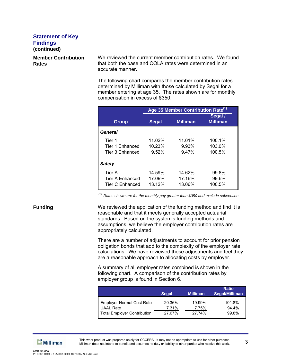#### **Statement of Key Findings (continued)**

**Member Contribution Rates**

 We reviewed the current member contribution rates. We found that both the base and COLA rates were determined in an accurate manner.

The following chart compares the member contribution rates determined by Milliman with those calculated by Segal for a member entering at age 35. The rates shown are for monthly compensation in excess of \$350.

|                        | Age 35 Member Contribution Rate <sup>(1)</sup> |                 |                            |  |  |  |
|------------------------|------------------------------------------------|-----------------|----------------------------|--|--|--|
| <b>Group</b>           | <b>Segal</b>                                   | <b>Milliman</b> | Segal /<br><b>Milliman</b> |  |  |  |
| General                |                                                |                 |                            |  |  |  |
| Tier 1                 | 11.02%                                         | 11.01%          | 100.1%                     |  |  |  |
| Tier 1 Enhanced        | 10.23%                                         | 9.93%           | 103.0%                     |  |  |  |
| Tier 3 Enhanced        | 9.52%                                          | 9.47%           | 100.5%                     |  |  |  |
| <b>Safety</b>          |                                                |                 |                            |  |  |  |
| Tier A                 | 14.59%                                         | 14.62%          | 99.8%                      |  |  |  |
| <b>Tier A Enhanced</b> | 17.09%                                         | 17.16%          | 99.6%                      |  |  |  |
| <b>Tier C Enhanced</b> | 13.12%                                         | 13.06%          | 100.5%                     |  |  |  |

*(1) Rates shown are for the monthly pay greater than \$350 and exclude subvention.*

**Funding Transform Struth Europe We reviewed the application of the funding method and find it is** reasonable and that it meets generally accepted actuarial standards. Based on the system's funding methods and assumptions, we believe the employer contribution rates are appropriately calculated.

> There are a number of adjustments to account for prior pension obligation bonds that add to the complexity of the employer rate calculations. We have reviewed these adjustments and feel they are a reasonable approach to allocating costs by employer.

A summary of all employer rates combined is shown in the following chart. A comparison of the contribution rates by employer group is found in Section 6.

|                                  | <b>Segal</b> | <b>Milliman</b> | <b>Ratio</b><br>Segal/Milliman |
|----------------------------------|--------------|-----------------|--------------------------------|
| <b>Employer Normal Cost Rate</b> | 20.36%       | 19.99%          | 101.8%                         |
| <b>UAAL Rate</b>                 | 7.31%        | 7.75%           | 94.4%                          |
| Total Employer Contribution      | 27.67%       | 27.74%          | 99.8%                          |

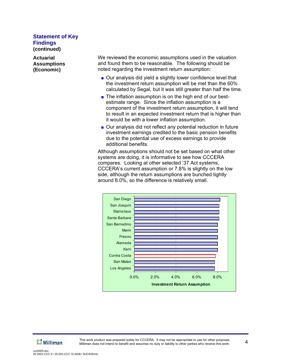#### **Statement of Key Findings (continued)**

**Actuarial Assumptions (Economic)**

 We reviewed the economic assumptions used in the valuation and found them to be reasonable. The following should be noted regarding the investment return assumption:

- Our analysis did yield a slightly lower confidence level that the investment return assumption will be met than the 60% calculated by Segal, but it was still greater than half the time.
- The inflation assumption is on the high end of our bestestimate range. Since the inflation assumption is a component of the investment return assumption, it will tend to result in an expected investment return that is higher than it would be with a lower inflation assumption.
- Our analysis did not reflect any potential reduction in future investment earnings credited to the basic pension benefits due to the potential use of excess earnings to provide additional benefits.

Although assumptions should not be set based on what other systems are doing, it is informative to see how CCCERA compares. Looking at other selected '37 Act systems, CCCERA's current assumption or 7.8% is slightly on the low side, although the return assumptions are bunched tightly around 8.0%, so the difference is relatively small.





25 0003 CCC 9 / 25.003.CCC.10.2008 / NJC/KIS/nlo

ccc0005.doc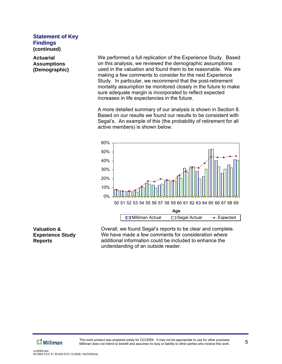#### **Statement of Key Findings (continued)**

#### **Actuarial Assumptions (Demographic)**

 We performed a full replication of the Experience Study. Based on this analysis, we reviewed the demographic assumptions used in the valuation and found them to be reasonable. We are making a few comments to consider for the next Experience Study. In particular, we recommend that the post-retirement mortality assumption be monitored closely in the future to make sure adequate margin is incorporated to reflect expected increases in life expectancies in the future.

A more detailed summary of our analysis is shown in Section 8. Based on our results we found our results to be consistent with Segal's. An example of this (the probability of retirement for all active members) is shown below.



#### **Valuation & Experience Study Reports**

 Overall, we found Segal's reports to be clear and complete. We have made a few comments for consideration where additional information could be included to enhance the understanding of an outside reader.

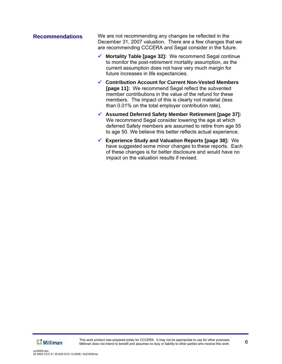**Recommendations** We are not recommending any changes be reflected in the December 31, 2007 valuation. There are a few changes that we are recommending CCCERA and Segal consider in the future.

- ◆ **Mortality Table [page 32]:** We recommend Segal continue to monitor the post-retirement mortality assumption, as the current assumption does not have very much margin for future increases in life expectancies.
- 9 **Contribution Account for Current Non-Vested Members [page 11]:** We recommend Segal reflect the subvented member contributions in the value of the refund for these members. The impact of this is clearly not material (less than 0.01% on the total employer contribution rate).
- 9 **Assumed Deferred Safety Member Retirement [page 37]:** We recommend Segal consider lowering the age at which deferred Safety members are assumed to retire from age 55 to age 50. We believe this better reflects actual experience.
- 9 **Experience Study and Valuation Reports [page 38]:**We have suggested some minor changes to these reports. Each of these changes is for better disclosure and would have no impact on the valuation results if revised.

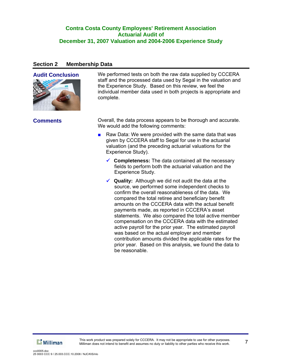### **Section 2 Membership Data**



**Audit Conclusion** We performed tests on both the raw data supplied by CCCERA staff and the processed data used by Segal in the valuation and the Experience Study. Based on this review, we feel the individual member data used in both projects is appropriate and complete.

**Comments Comments Comments Comments Comments Comments Comments Commented Comments Comment Comment Comment Comment Comment Comment Comment Comment Comment Comment Comment Comment C** We would add the following comments:

- Raw Data: We were provided with the same data that was given by CCCERA staff to Segal for use in the actuarial valuation (and the preceding actuarial valuations for the Experience Study).
	- ◆ **Completeness:** The data contained all the necessary fields to perform both the actuarial valuation and the Experience Study.
	- $\checkmark$  Quality: Although we did not audit the data at the source, we performed some independent checks to confirm the overall reasonableness of the data. We compared the total retiree and beneficiary benefit amounts on the CCCERA data with the actual benefit payments made, as reported in CCCERA's asset statements. We also compared the total active member compensation on the CCCERA data with the estimated active payroll for the prior year. The estimated payroll was based on the actual employer and member contribution amounts divided the applicable rates for the prior year. Based on this analysis, we found the data to be reasonable.

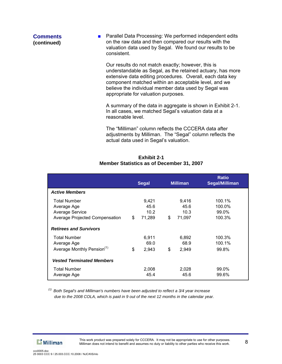# **Comments (continued)**

■ Parallel Data Processing: We performed independent edits on the raw data and then compared our results with the valuation data used by Segal. We found our results to be consistent.

Our results do not match exactly; however, this is understandable as Segal, as the retained actuary, has more extensive data editing procedures. Overall, each data key component matched within an acceptable level, and we believe the individual member data used by Segal was appropriate for valuation purposes.

 A summary of the data in aggregate is shown in Exhibit 2-1. In all cases, we matched Segal's valuation data at a reasonable level.

The "Milliman" column reflects the CCCERA data after adjustments by Milliman. The "Segal" column reflects the actual data used in Segal's valuation.

|                                        |    | <b>Segal</b> | <b>Milliman</b> | <b>Ratio</b><br>Segal/Milliman |
|----------------------------------------|----|--------------|-----------------|--------------------------------|
| <b>Active Members</b>                  |    |              |                 |                                |
| <b>Total Number</b>                    |    | 9,421        | 9.416           | 100.1%                         |
| Average Age                            |    | 45.6         | 45.6            | 100.0%                         |
| <b>Average Service</b>                 |    | 10.2         | 10.3            | 99.0%                          |
| Average Projected Compensation         | \$ | 71,289       | \$<br>71,097    | 100.3%                         |
| <b>Retirees and Survivors</b>          |    |              |                 |                                |
| <b>Total Number</b>                    |    | 6,911        | 6,892           | 100.3%                         |
| Average Age                            |    | 69.0         | 68.9            | 100.1%                         |
| Average Monthly Pension <sup>(1)</sup> | \$ | 2,943        | \$<br>2,949     | 99.8%                          |
| <b>Vested Terminated Members</b>       |    |              |                 |                                |
| <b>Total Number</b>                    |    | 2,008        | 2,028           | 99.0%                          |
| Average Age                            |    | 45.4         | 45.6            | 99.6%                          |

#### **Exhibit 2-1 Member Statistics as of December 31, 2007**

*(1) Both Segal's and Milliman's numbers have been adjusted to reflect a 3/4 year increase due to the 2008 COLA, which is paid in 9 out of the next 12 months in the calendar year.*

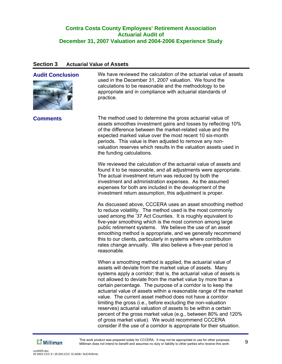#### **Section 3 Actuarial Value of Assets**



**Audit Conclusion** We have reviewed the calculation of the actuarial value of assets used in the December 31, 2007 valuation. We found the calculations to be reasonable and the methodology to be appropriate and in compliance with actuarial standards of practice.

**Comments** The method used to determine the gross actuarial value of assets smoothes investment gains and losses by reflecting 10% of the difference between the market-related value and the expected marked value over the most recent 10 six-month periods. This value is then adjusted to remove any nonvaluation reserves which results in the valuation assets used in the funding calculations.

> We reviewed the calculation of the actuarial value of assets and found it to be reasonable, and all adjustments were appropriate. The actual investment return was reduced by both the investment and administration expenses. As the assumed expenses for both are included in the development of the investment return assumption, this adjustment is proper.

As discussed above, CCCERA uses an asset smoothing method to reduce volatility. The method used is the most commonly used among the '37 Act Counties. It is roughly equivalent to five-year smoothing which is the most common among large public retirement systems. We believe the use of an asset smoothing method is appropriate, and we generally recommend this to our clients, particularly in systems where contribution rates change annually. We also believe a five-year period is reasonable.

When a smoothing method is applied, the actuarial value of assets will deviate from the market value of assets. Many systems apply a corridor; that is, the actuarial value of assets is not allowed to deviate from the market value by more than a certain percentage. The purpose of a corridor is to keep the actuarial value of assets within a reasonable range of the market value. The current asset method does not have a corridor limiting the gross (i.e., before excluding the non-valuation reserves) actuarial valuation of assets to be within a certain percent of the gross market value (e.g., between 80% and 120% of gross market value). We would recommend CCCERA consider if the use of a corridor is appropriate for their situation.



This work product was prepared solely for CCCERA. It may not be appropriate to use for other purposes. This work product was prepared solely for CCCERA. It may not be appropriate to use for other purposes.<br>Milliman does not intend to benefit and assumes no duty or liability to other parties who receive this work.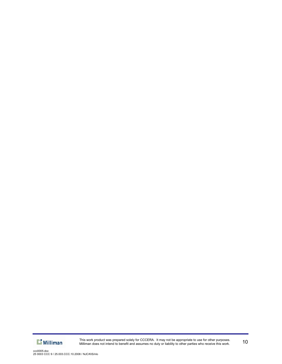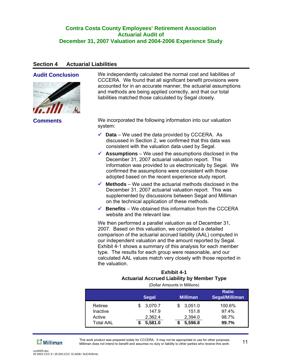# **Section 4 Actuarial Liabilities**



**Audit Conclusion** We independently calculated the normal cost and liabilities of CCCERA. We found that all significant benefit provisions were accounted for in an accurate manner, the actuarial assumptions and methods are being applied correctly, and that our total liabilities matched those calculated by Segal closely.

**Comments We incorporated the following information into our valuation** system:

- $\checkmark$  **Data** We used the data provided by CCCERA. As discussed in Section 2, we confirmed that this data was consistent with the valuation data used by Segal.
- $\overline{\phantom{a}}$  **Assumptions** We used the assumptions disclosed in the December 31, 2007 actuarial valuation report. This information was provided to us electronically by Segal. We confirmed the assumptions were consistent with those adopted based on the recent experience study report.
- $\checkmark$  Methods We used the actuarial methods disclosed in the December 31, 2007 actuarial valuation report. This was supplemented by discussions between Segal and Milliman on the technical application of these methods.
- $\checkmark$  **Benefits** We obtained this information from the CCCERA website and the relevant law.

 We then performed a parallel valuation as of December 31, 2007. Based on this valuation, we completed a detailed comparison of the actuarial accrued liability (AAL) computed in our independent valuation and the amount reported by Segal. Exhibit 4-1 shows a summary of this analysis for each member type. The results for each group were reasonable, and our calculated AAL values match very closely with those reported in the valuation.

### **Exhibit 4-1 Actuarial Accrued Liability by Member Type**

(Dollar Amounts in Millions)

|           | <b>Segal</b> | <b>Milliman</b> | <b>Ratio</b><br>Segal/Milliman |
|-----------|--------------|-----------------|--------------------------------|
| Retiree   | 3,070.7      | 3,051.0         | 100.6%                         |
| Inactive  | 147.9        | 151.8           | 97.4%                          |
| Active    | 2,362.4      | 2,394.0         | 98.7%                          |
| Total AAL | 5,581.0      | 5,596.8         | 99.7%                          |



This work product was prepared solely for CCCERA. It may not be appropriate to use for other purposes. This work product was prepared solely for CCCERA. It may not be appropriate to use for other purposes.<br>Milliman does not intend to benefit and assumes no duty or liability to other parties who receive this work.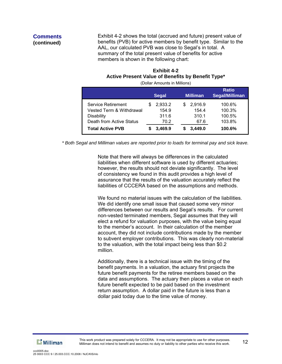Exhibit 4-2 shows the total (accrued and future) present value of benefits (PVB) for active members by benefit type. Similar to the AAL, our calculated PVB was close to Segal's in total. A summary of the total present value of benefits for active members is shown in the following chart:

#### **Exhibit 4-2 Active Present Value of Benefits by Benefit Type\***  (Dollar Amounts in Millions)

| , טווטוווויזו ווויסטוווט ווא ווויסט                                                             |  |                                   |   |                                   |                                      |
|-------------------------------------------------------------------------------------------------|--|-----------------------------------|---|-----------------------------------|--------------------------------------|
|                                                                                                 |  | <b>Segal</b>                      |   | <b>Milliman</b>                   | <b>Ratio</b><br>Segal/Milliman       |
| Service Retirement<br>Vested Term & Withdrawal<br><b>Disability</b><br>Death from Active Status |  | 2,933.2<br>154.9<br>311.6<br>70.2 | S | 2.916.9<br>154.4<br>310.1<br>67.6 | 100.6%<br>100.3%<br>100.5%<br>103.8% |
| <b>Total Active PVB</b>                                                                         |  | 3,469.9                           |   | 3,449.0                           | 100.6%                               |

*\* Both Segal and Milliman values are reported prior to loads for terminal pay and sick leave.* 

 Note that there will always be differences in the calculated liabilities when different software is used by different actuaries; however, the results should not deviate significantly. The level of consistency we found in this audit provides a high level of assurance that the results of the valuation accurately reflect the liabilities of CCCERA based on the assumptions and methods.

We found no material issues with the calculation of the liabilities. We did identify one small issue that caused some very minor differences between our results and Segal's results. For current non-vested terminated members, Segal assumes that they will elect a refund for valuation purposes, with the value being equal to the member's account. In their calculation of the member account, they did not include contributions made by the member to subvent employer contributions. This was clearly non-material to the valuation, with the total impact being less than \$0.2 million.

Additionally, there is a technical issue with the timing of the benefit payments. In a valuation, the actuary first projects the future benefit payments for the retiree members based on the data and assumptions. The actuary then places a value on each future benefit expected to be paid based on the investment return assumption. A dollar paid in the future is less than a dollar paid today due to the time value of money.

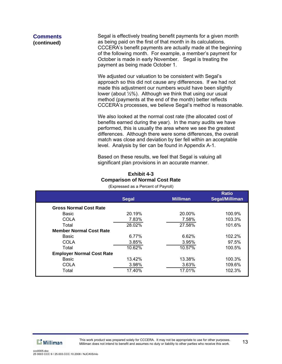| <b>Comments</b><br>(continued) | Segal is effectively treating benefit payments for a given month<br>as being paid on the first of that month in its calculations.<br>CCCERA's benefit payments are actually made at the beginning<br>of the following month. For example, a member's payment for<br>October is made in early November. Segal is treating the<br>payment as being made October 1.                             |
|--------------------------------|----------------------------------------------------------------------------------------------------------------------------------------------------------------------------------------------------------------------------------------------------------------------------------------------------------------------------------------------------------------------------------------------|
|                                | We adjusted our valuation to be consistent with Segal's<br>approach so this did not cause any differences. If we had not<br>made this adjustment our numbers would have been slightly<br>lower (about $\frac{1}{2}\%$ ). Although we think that using our usual<br>method (payments at the end of the month) better reflects<br>CCCERA's processes, we believe Segal's method is reasonable. |
|                                | We also looked at the normal cost rate (the allocated cost of<br>benefits earned during the year). In the many audits we have<br>performed, this is usually the area where we see the greatest<br>differences. Although there were some differences, the overall<br>match was close and deviation by tier fell within an acceptable<br>level. Analysis by tier can be found in Appendix A-1. |

Based on these results, we feel that Segal is valuing all significant plan provisions in an accurate manner.

# **Exhibit 4-3 Comparison of Normal Cost Rate**

(Expressed as a Percent of Payroll)

|                                  | <b>Segal</b> | <b>Milliman</b> | <b>Ratio</b><br>Segal/Milliman |
|----------------------------------|--------------|-----------------|--------------------------------|
|                                  |              |                 |                                |
| <b>Gross Normal Cost Rate</b>    |              |                 |                                |
| Basic                            | 20.19%       | 20.00%          | 100.9%                         |
| COLA                             | 7.83%        | 7.58%           | 103.3%                         |
| Total                            | 28.02%       | 27.58%          | 101.6%                         |
| <b>Member Normal Cost Rate</b>   |              |                 |                                |
| Basic                            | 6.77%        | 6.62%           | 102.2%                         |
| <b>COLA</b>                      | 3.85%        | 3.95%           | 97.5%                          |
| Total                            | 10.62%       | 10.57%          | 100.5%                         |
| <b>Employer Normal Cost Rate</b> |              |                 |                                |
| Basic                            | 13.42%       | 13.38%          | 100.3%                         |
| <b>COLA</b>                      | 3.98%        | 3.63%           | 109.6%                         |
| Total                            | 17.40%       | 17.01%          | 102.3%                         |

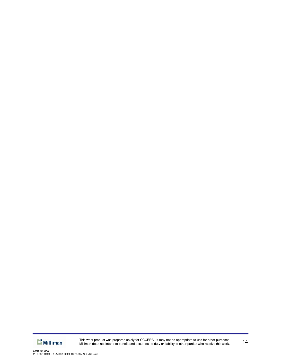

ccc0005.doc<br>25 0003 CCC 9 / 25.003.CCC.10.2008 / NJC/KIS/nlo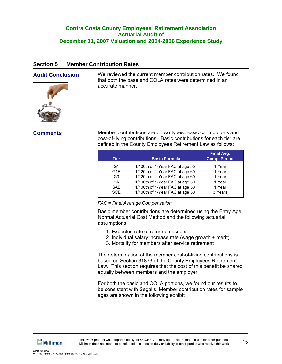# **Section 5 Member Contribution Rates**



**Audit Conclusion** We reviewed the current member contribution rates. We found that both the base and COLA rates were determined in an accurate manner.

**Comments Member contributions are of two types: Basic contributions and** cost-of-living contributions. Basic contributions for each tier are defined in the County Employees Retirement Law as follows:

| Tier             | <b>Basic Formula</b>            | <b>Final Avg.</b><br><b>Comp. Period</b> |
|------------------|---------------------------------|------------------------------------------|
|                  |                                 |                                          |
| G1               | 1/100th of 1-Year FAC at age 55 | 1 Year                                   |
| G <sub>1</sub> E | 1/120th of 1-Year FAC at age 60 | 1 Year                                   |
| G <sub>3</sub>   | 1/120th of 1-Year FAC at age 60 | 1 Year                                   |
| <b>SA</b>        | 1/100th of 1-Year FAC at age 50 | 1 Year                                   |
| <b>SAE</b>       | 1/100th of 1-Year FAC at age 50 | 1 Year                                   |
| <b>SCE</b>       | 1/100th of 1-Year FAC at age 50 | 3 Years                                  |
|                  |                                 |                                          |

*FAC = Final Average Compensation* 

 Basic member contributions are determined using the Entry Age Normal Actuarial Cost Method and the following actuarial assumptions:

- 1. Expected rate of return on assets
- 2. Individual salary increase rate (wage growth + merit)
- 3. Mortality for members after service retirement

The determination of the member cost-of-living contributions is based on Section 31873 of the County Employees Retirement Law. This section requires that the cost of this benefit be shared equally between members and the employer.

For both the basic and COLA portions, we found our results to be consistent with Segal's. Member contribution rates for sample ages are shown in the following exhibit.

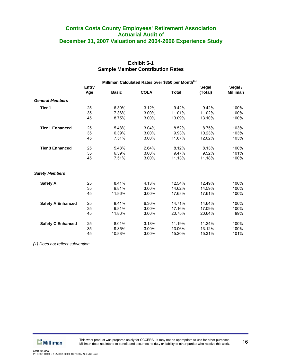|                          |       | Milliman Calculated Rates over \$350 per Month <sup>(1)</sup> |             |              |         |                 |
|--------------------------|-------|---------------------------------------------------------------|-------------|--------------|---------|-----------------|
|                          | Entry |                                                               |             |              | Segal   | Segal /         |
|                          | Age   | <b>Basic</b>                                                  | <b>COLA</b> | <b>Total</b> | (Total) | <b>Milliman</b> |
| <b>General Members</b>   |       |                                                               |             |              |         |                 |
| Tier 1                   | 25    | 6.30%                                                         | 3.12%       | 9.42%        | 9.42%   | 100%            |
|                          | 35    | 7.36%                                                         | 3.00%       | 11.01%       | 11.02%  | 100%            |
|                          | 45    | 8.75%                                                         | 3.00%       | 13.09%       | 13.10%  | 100%            |
| <b>Tier 1 Enhanced</b>   | 25    | 5.48%                                                         | 3.04%       | 8.52%        | 8.75%   | 103%            |
|                          | 35    | 6.39%                                                         | 3.00%       | 9.93%        | 10.23%  | 103%            |
|                          | 45    | 7.51%                                                         | 3.00%       | 11.67%       | 12.02%  | 103%            |
| <b>Tier 3 Enhanced</b>   | 25    | 5.48%                                                         | 2.64%       | 8.12%        | 8.13%   | 100%            |
|                          | 35    | 6.39%                                                         | 3.00%       | 9.47%        | 9.52%   | 101%            |
|                          | 45    | 7.51%                                                         | 3.00%       | 11.13%       | 11.18%  | 100%            |
| <b>Safety Members</b>    |       |                                                               |             |              |         |                 |
| <b>Safety A</b>          | 25    | 8.41%                                                         | 4.13%       | 12.54%       | 12.49%  | 100%            |
|                          | 35    | 9.81%                                                         | 3.00%       | 14.62%       | 14.59%  | 100%            |
|                          | 45    | 11.86%                                                        | 3.00%       | 17.68%       | 17.61%  | 100%            |
| <b>Safety A Enhanced</b> | 25    | 8.41%                                                         | 6.30%       | 14.71%       | 14.64%  | 100%            |
|                          | 35    | 9.81%                                                         | 3.00%       | 17.16%       | 17.09%  | 100%            |
|                          | 45    | 11.86%                                                        | 3.00%       | 20.75%       | 20.64%  | 99%             |
| <b>Safety C Enhanced</b> | 25    | 8.01%                                                         | 3.18%       | 11.19%       | 11.24%  | 100%            |
|                          | 35    | 9.35%                                                         | 3.00%       | 13.06%       | 13.12%  | 100%            |
|                          | 45    | 10.88%                                                        | 3.00%       | 15.20%       | 15.31%  | 101%            |

#### **Exhibit 5-1 Sample Member Contribution Rates**

*(1) Does not reflect subvention.* 

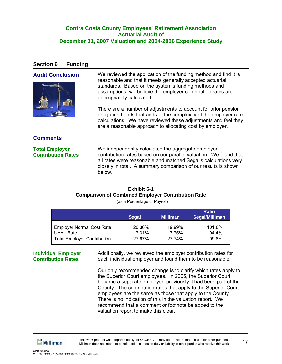#### **Section 6 Funding**



**Audit Conclusion** We reviewed the application of the funding method and find it is reasonable and that it meets generally accepted actuarial standards. Based on the system's funding methods and assumptions, we believe the employer contribution rates are appropriately calculated.

> There are a number of adjustments to account for prior pension obligation bonds that adds to the complexity of the employer rate calculations. We have reviewed these adjustments and feel they are a reasonable approach to allocating cost by employer.

#### **Comments**

**Total Employer Contribution Rates**  We independently calculated the aggregate employer contribution rates based on our parallel valuation. We found that all rates were reasonable and matched Segal's calculations very closely in total. A summary comparison of our results is shown below.

# **Exhibit 6-1 Comparison of Combined Employer Contribution Rate**

(as a Percentage of Payroll)

|                                    | <b>Segal</b> | Milliman | <b>Ratio</b><br>Segal/Milliman |
|------------------------------------|--------------|----------|--------------------------------|
| <b>Employer Normal Cost Rate</b>   | 20.36%       | 19.99%   | 101.8%                         |
| <b>UAAL Rate</b>                   | 7.31%        | 7.75%    | $94.4\%$                       |
| <b>Total Employer Contribution</b> | 27.67%       | 27.74%   | 99.8%                          |

#### **Individual Employer Contribution Rates**

 Additionally, we reviewed the employer contribution rates for each individual employer and found them to be reasonable.

Our only recommended change is to clarify which rates apply to the Superior Court employees. In 2005, the Superior Court became a separate employer; previously it had been part of the County. The contribution rates that apply to the Superior Court employees are the same as those that apply to the County. There is no indication of this in the valuation report. We recommend that a comment or footnote be added to the valuation report to make this clear.

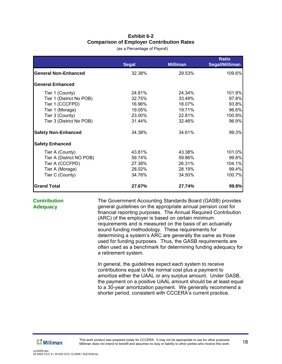# **Exhibit 6-2 Comparison of Employer Contribution Rates**

|                             | <b>Segal</b> | <b>Milliman</b> | <b>Ratio</b><br>Segal/Milliman |
|-----------------------------|--------------|-----------------|--------------------------------|
| <b>General Non-Enhanced</b> | 32.38%       | 29.53%          | 109.6%                         |
| <b>General Enhanced</b>     |              |                 |                                |
| Tier 1 (County)             | 24.81%       | 24.34%          | 101.9%                         |
| Tier 1 (District No POB)    | 32.75%       | 33.49%          | 97.8%                          |
| Tier 1 (CCCFPD)             | 16.96%       | 18.07%          | 93.8%                          |
| Tier 1 (Moraga)             | 19.05%       | 19.71%          | 96.6%                          |
| Tier 3 (County)             | 23.00%       | 22.81%          | 100.9%                         |
| Tier 3 (District No POB)    | 31.44%       | 32.46%          | 96.9%                          |
| <b>Safety Non-Enhanced</b>  | 34.38%       | 34.61%          | 99.3%                          |
| <b>Safety Enhanced</b>      |              |                 |                                |
| Tier A (County)             | 43.81%       | 43.38%          | 101.0%                         |
| Tier A (District NO POB)    | 59.74%       | 59.86%          | 99.8%                          |
| Tier A (CCCFPD)             | 27.38%       | 26.31%          | 104.1%                         |
| Tier A (Moraga)             | 28.02%       | 28.19%          | 99.4%                          |
| Tier C (County)             | 34.76%       | 34.50%          | 100.7%                         |
| <b>Grand Total</b>          | 27.67%       | 27.74%          | 99.8%                          |

(as a Percentage of Payroll)

#### **Contribution Adequacy**

 The Government Accounting Standards Board (GASB) provides general guidelines on the appropriate annual pension cost for financial reporting purposes. The Annual Required Contribution (ARC) of the employer is based on certain minimum requirements and is measured on the basis of an actuarially sound funding methodology. These requirements for determining a system's ARC are generally the same as those used for funding purposes. Thus, the GASB requirements are often used as a benchmark for determining funding adequacy for a retirement system.

In general, the guidelines expect each system to receive contributions equal to the normal cost plus a payment to amortize either the UAAL or any surplus amount. Under GASB, the payment on a positive UAAL amount should be at least equal to a 30-year amortization payment. We generally recommend a shorter period, consistent with CCCERA's current practice.

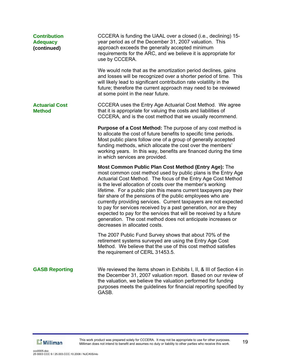| <b>Contribution</b><br><b>Adequacy</b><br>(continued) | CCCERA is funding the UAAL over a closed (i.e., declining) 15-<br>year period as of the December 31, 2007 valuation. This<br>approach exceeds the generally accepted minimum<br>requirements for the ARC, and we believe it is appropriate for<br>use by CCCERA.                                                                                                                                                                                                                                                                                                                                                                                                                                       |
|-------------------------------------------------------|--------------------------------------------------------------------------------------------------------------------------------------------------------------------------------------------------------------------------------------------------------------------------------------------------------------------------------------------------------------------------------------------------------------------------------------------------------------------------------------------------------------------------------------------------------------------------------------------------------------------------------------------------------------------------------------------------------|
|                                                       | We would note that as the amortization period declines, gains<br>and losses will be recognized over a shorter period of time. This<br>will likely lead to significant contribution rate volatility in the<br>future; therefore the current approach may need to be reviewed<br>at some point in the near future.                                                                                                                                                                                                                                                                                                                                                                                       |
| <b>Actuarial Cost</b><br><b>Method</b>                | CCCERA uses the Entry Age Actuarial Cost Method. We agree<br>that it is appropriate for valuing the costs and liabilities of<br>CCCERA, and is the cost method that we usually recommend.                                                                                                                                                                                                                                                                                                                                                                                                                                                                                                              |
|                                                       | <b>Purpose of a Cost Method:</b> The purpose of any cost method is<br>to allocate the cost of future benefits to specific time periods.<br>Most public plans follow one of a group of generally accepted<br>funding methods, which allocate the cost over the members'<br>working years. In this way, benefits are financed during the time<br>in which services are provided.                                                                                                                                                                                                                                                                                                                         |
|                                                       | Most Common Public Plan Cost Method (Entry Age): The<br>most common cost method used by public plans is the Entry Age<br>Actuarial Cost Method. The focus of the Entry Age Cost Method<br>is the level allocation of costs over the member's working<br>lifetime. For a public plan this means current taxpayers pay their<br>fair share of the pensions of the public employees who are<br>currently providing services. Current taxpayers are not expected<br>to pay for services received by a past generation, nor are they<br>expected to pay for the services that will be received by a future<br>generation. The cost method does not anticipate increases or<br>decreases in allocated costs. |
|                                                       | The 2007 Public Fund Survey shows that about 70% of the<br>retirement systems surveyed are using the Entry Age Cost<br>Method. We believe that the use of this cost method satisfies<br>the requirement of CERL 31453.5.                                                                                                                                                                                                                                                                                                                                                                                                                                                                               |
| <b>GASB Reporting</b>                                 | We reviewed the items shown in Exhibits I, II, & III of Section 4 in<br>the December 31, 2007 valuation report. Based on our review of<br>the valuation, we believe the valuation performed for funding<br>purposes meets the guidelines for financial reporting specified by<br>GASB.                                                                                                                                                                                                                                                                                                                                                                                                                 |

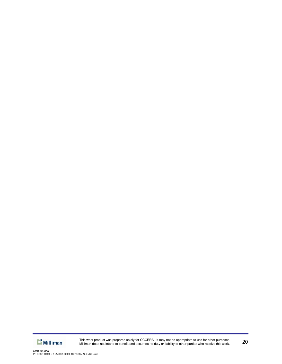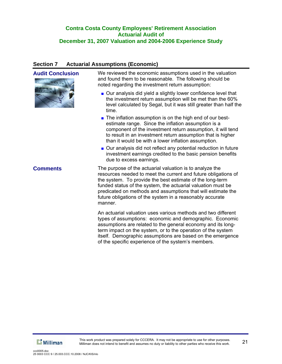# **Section 7 Actuarial Assumptions (Economic)**



**Audit Conclusion** We reviewed the economic assumptions used in the valuation and found them to be reasonable. The following should be noted regarding the investment return assumption:

- Our analysis did yield a slightly lower confidence level that the investment return assumption will be met than the 60% level calculated by Segal, but it was still greater than half the time.
- The inflation assumption is on the high end of our bestestimate range. Since the inflation assumption is a component of the investment return assumption, it will tend to result in an investment return assumption that is higher than it would be with a lower inflation assumption.
- Our analysis did not reflect any potential reduction in future investment earnings credited to the basic pension benefits due to excess earnings.

#### **Comments** The purpose of the actuarial valuation is to analyze the resources needed to meet the current and future obligations of the system. To provide the best estimate of the long-term funded status of the system, the actuarial valuation must be predicated on methods and assumptions that will estimate the future obligations of the system in a reasonably accurate manner.

An actuarial valuation uses various methods and two different types of assumptions: economic and demographic. Economic assumptions are related to the general economy and its longterm impact on the system, or to the operation of the system itself. Demographic assumptions are based on the emergence of the specific experience of the system's members.

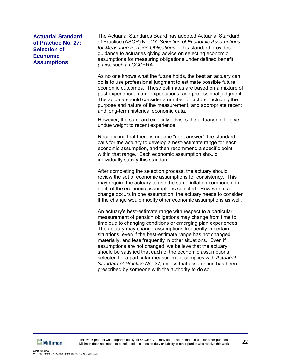### **Actuarial Standard of Practice No. 27: Selection of Economic Assumptions**

 The Actuarial Standards Board has adopted Actuarial Standard of Practice (ASOP) No. 27, *Selection of Economic Assumptions for Measuring Pension Obligations*. This standard provides guidance to actuaries giving advice on selecting economic assumptions for measuring obligations under defined benefit plans, such as CCCERA.

As no one knows what the future holds, the best an actuary can do is to use professional judgment to estimate possible future economic outcomes. These estimates are based on a mixture of past experience, future expectations, and professional judgment. The actuary should consider a number of factors, including the purpose and nature of the measurement, and appropriate recent and long-term historical economic data.

 However, the standard explicitly advises the actuary not to give undue weight to recent experience.

Recognizing that there is not one "right answer", the standard calls for the actuary to develop a best-estimate range for each economic assumption, and then recommend a specific point within that range. Each economic assumption should individually satisfy this standard.

After completing the selection process, the actuary should review the set of economic assumptions for consistency. This may require the actuary to use the same inflation component in each of the economic assumptions selected. However, if a change occurs in one assumption, the actuary needs to consider if the change would modify other economic assumptions as well.

An actuary's best-estimate range with respect to a particular measurement of pension obligations may change from time to time due to changing conditions or emerging plan experiences. The actuary may change assumptions frequently in certain situations, even if the best-estimate range has not changed materially, and less frequently in other situations. Even if assumptions are not changed, we believe that the actuary should be satisfied that each of the economic assumptions selected for a particular measurement complies with *Actuarial Standard of Practice No. 27*, unless that assumption has been prescribed by someone with the authority to do so.

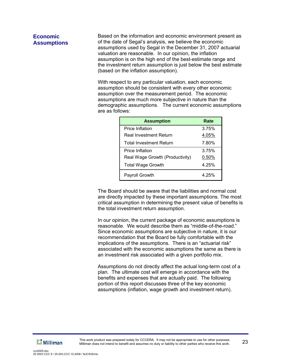# **Economic Assumptions**

 Based on the information and economic environment present as of the date of Segal's analysis, we believe the economic assumptions used by Segal in the December 31, 2007 actuarial valuation are reasonable. In our opinion, the inflation assumption is on the high end of the best-estimate range and the investment return assumption is just below the best estimate (based on the inflation assumption).

With respect to any particular valuation, each economic assumption should be consistent with every other economic assumption over the measurement period. The economic assumptions are much more subjective in nature than the demographic assumptions. The current economic assumptions are as follows:

| <b>Assumption</b>               | Rate  |
|---------------------------------|-------|
| Price Inflation                 | 3.75% |
| <b>Real Investment Return</b>   | 4.05% |
| <b>Total Investment Return</b>  | 7.80% |
| Price Inflation                 | 3.75% |
| Real Wage Growth (Productivity) | 0.50% |
| <b>Total Wage Growth</b>        | 4.25% |
| Payroll Growth                  | 4.25% |

 The Board should be aware that the liabilities and normal cost are directly impacted by these important assumptions. The most critical assumption in determining the present value of benefits is the total investment return assumption.

In our opinion, the current package of economic assumptions is reasonable. We would describe them as "middle-of-the-road." Since economic assumptions are subjective in nature, it is our recommendation that the Board be fully comfortable with the implications of the assumptions. There is an "actuarial risk" associated with the economic assumptions the same as there is an investment risk associated with a given portfolio mix.

Assumptions do not directly affect the actual long-term cost of a plan. The ultimate cost will emerge in accordance with the benefits and expenses that are actually paid. The following portion of this report discusses three of the key economic assumptions (inflation, wage growth and investment return).

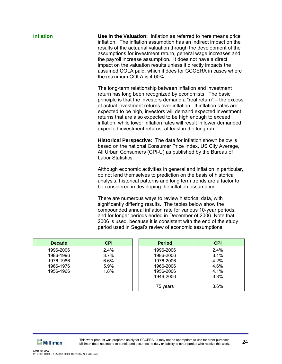| <b>Inflation</b> | Use in the Valuation: Inflation as referred to here means price<br>inflation. The inflation assumption has an indirect impact on the<br>results of the actuarial valuation through the development of the<br>assumptions for investment return, general wage increases and<br>the payroll increase assumption. It does not have a direct<br>impact on the valuation results unless it directly impacts the<br>assumed COLA paid, which it does for CCCERA in cases where<br>the maximum COLA is 4.00%.                                  |
|------------------|-----------------------------------------------------------------------------------------------------------------------------------------------------------------------------------------------------------------------------------------------------------------------------------------------------------------------------------------------------------------------------------------------------------------------------------------------------------------------------------------------------------------------------------------|
|                  | The long-term relationship between inflation and investment<br>return has long been recognized by economists. The basic<br>principle is that the investors demand a "real return" – the excess<br>of actual investment returns over inflation. If inflation rates are<br>expected to be high, investors will demand expected investment<br>returns that are also expected to be high enough to exceed<br>inflation, while lower inflation rates will result in lower demanded<br>expected investment returns, at least in the long run. |
|                  | Historical Perspective: The data for inflation shown below is<br>based on the national Consumer Price Index, US City Average,<br>All Urban Consumers (CPI-U) as published by the Bureau of<br>Labor Statistics.                                                                                                                                                                                                                                                                                                                         |
|                  | Although economic activities in general and inflation in particular,<br>do not lend themselves to prediction on the basis of historical<br>analysis, historical patterns and long term trends are a factor to<br>be considered in developing the inflation assumption.                                                                                                                                                                                                                                                                  |
|                  | There are numerous ways to review historical data, with<br>significantly differing results. The tables below show the<br>compounded annual inflation rate for various 10-year periods,<br>and for longer periods ended in December of 2006. Note that<br>2006 is used, because it is consistent with the end of the study                                                                                                                                                                                                               |

| <b>Decade</b> | <b>CPI</b> | <b>Period</b> | <b>CPI</b> |
|---------------|------------|---------------|------------|
| 1996-2006     | 2.4%       | 1996-2006     | 2.4%       |
| 1986-1996     | 3.7%       | 1986-2006     | 3.1%       |
| 1976-1986     | 6.6%       | 1976-2006     | 4.2%       |
| 1966-1976     | 5.9%       | 1966-2006     | 4.6%       |
| 1956-1966     | 1.8%       | 1956-2006     | 4.1%       |
|               |            | 1946-2006     | 3.8%       |
|               |            | 75 years      | 3.6%       |



period used in Segal's review of economic assumptions.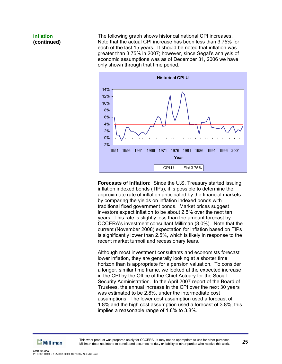#### **Inflation (continued)**

 The following graph shows historical national CPI increases. Note that the actual CPI increase has been less than 3.75% for each of the last 15 years. It should be noted that inflation was greater than 3.75% in 2007; however, since Segal's analysis of economic assumptions was as of December 31, 2006 we have only shown through that time period.



**Forecasts of Inflation:** Since the U.S. Treasury started issuing inflation indexed bonds (TIPs), it is possible to determine the approximate rate of inflation anticipated by the financial markets by comparing the yields on inflation indexed bonds with traditional fixed government bonds. Market prices suggest investors expect inflation to be about 2.5% over the next ten years. This rate is slightly less than the amount forecast by CCCERA's investment consultant Milliman (3.0%). Note that the current (November 2008) expectation for inflation based on TIPs is significantly lower than 2.5%, which is likely in response to the recent market turmoil and recessionary fears.

Although most investment consultants and economists forecast lower inflation, they are generally looking at a shorter time horizon than is appropriate for a pension valuation. To consider a longer, similar time frame, we looked at the expected increase in the CPI by the Office of the Chief Actuary for the Social Security Administration. In the April 2007 report of the Board of Trustees, the annual increase in the CPI over the next 30 years was estimated to be 2.8%, under the intermediate cost assumptions. The lower cost assumption used a forecast of 1.8% and the high cost assumption used a forecast of 3.8%; this implies a reasonable range of 1.8% to 3.8%.

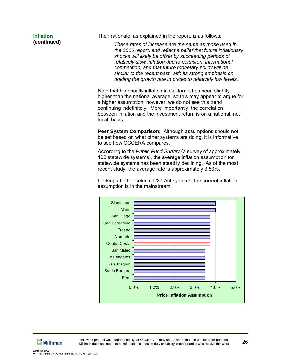#### **Inflation (continued)**

Their rationale, as explained in the report, is as follows:

*These rates of increase are the same as those used in the 2006 report, and reflect a belief that future inflationary shocks will likely be offset by succeeding periods of relatively slow inflation due to persistent international competition, and that future monetary policy will be similar to the recent past, with its strong emphasis on holding the growth rate in prices to relatively low levels.* 

Note that historically inflation in California has been slightly higher than the national average, so this may appear to argue for a higher assumption; however, we do not see this trend continuing indefinitely. More importantly, the correlation between inflation and the investment return is on a national, not local, basis.

**Peer System Comparison:** Although assumptions should not be set based on what other systems are doing, it is informative to see how CCCERA compares.

According to the *Public Fund Survey* (a survey of approximately 100 statewide systems), the average inflation assumption for statewide systems has been steadily declining. As of the most recent study, the average rate is approximately 3.50%.

Looking at other selected '37 Act systems, the current inflation assumption is in the mainstream.



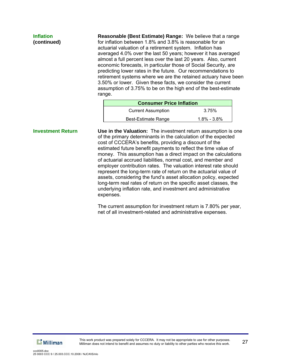| <b>Inflation</b><br>(continued) | Reasonable (Best Estimate) Range: We believe that a range<br>for inflation between 1.8% and 3.8% is reasonable for an<br>actuarial valuation of a retirement system. Inflation has<br>averaged 4.0% over the last 50 years; however it has averaged<br>almost a full percent less over the last 20 years. Also, current<br>economic forecasts, in particular those of Social Security, are<br>predicting lower rates in the future. Our recommendations to<br>retirement systems where we are the retained actuary have been<br>3.50% or lower. Given these facts, we consider the current<br>assumption of 3.75% to be on the high end of the best-estimate<br>range. |                 |  |
|---------------------------------|------------------------------------------------------------------------------------------------------------------------------------------------------------------------------------------------------------------------------------------------------------------------------------------------------------------------------------------------------------------------------------------------------------------------------------------------------------------------------------------------------------------------------------------------------------------------------------------------------------------------------------------------------------------------|-----------------|--|
|                                 | <b>Consumer Price Inflation</b>                                                                                                                                                                                                                                                                                                                                                                                                                                                                                                                                                                                                                                        |                 |  |
|                                 | <b>Current Assumption</b>                                                                                                                                                                                                                                                                                                                                                                                                                                                                                                                                                                                                                                              | 3.75%           |  |
|                                 | <b>Best-Estimate Range</b>                                                                                                                                                                                                                                                                                                                                                                                                                                                                                                                                                                                                                                             | $1.8\% - 3.8\%$ |  |
| <b>Investment Return</b>        | Use in the Valuation: The investment return assumption is one<br>of the primary determinants in the calculation of the expected<br>cost of CCCERA's benefits, providing a discount of the<br>estimated future benefit payments to reflect the time value of<br>money. This assumption has a direct impact on the calculations                                                                                                                                                                                                                                                                                                                                          |                 |  |

expenses.

of actuarial accrued liabilities, normal cost, and member and employer contribution rates. The valuation interest rate should represent the long-term rate of return on the actuarial value of assets, considering the fund's asset allocation policy, expected long-term real rates of return on the specific asset classes, the underlying inflation rate, and investment and administrative

The current assumption for investment return is 7.80% per year, net of all investment-related and administrative expenses.

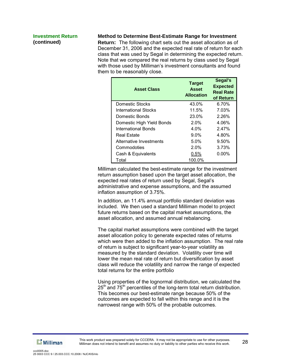#### **Method to Determine Best-Estimate Range for Investment**

**Return:** The following chart sets out the asset allocation as of December 31, 2006 and the expected real rate of return for each class that was used by Segal in determining the expected return. Note that we compared the real returns by class used by Segal with those used by Milliman's investment consultants and found them to be reasonably close.

| <b>Asset Class</b>        | <b>Target</b><br><b>Asset</b><br><b>Allocation</b> | Segal's<br><b>Expected</b><br><b>Real Rate</b><br>of Return |
|---------------------------|----------------------------------------------------|-------------------------------------------------------------|
| Domestic Stocks           | 43.0%                                              | 6.70%                                                       |
| International Stocks      | 11.5%                                              | 7.03%                                                       |
| Domestic Bonds            | 23.0%                                              | 2.26%                                                       |
| Domestic High Yield Bonds | $2.0\%$                                            | 4.06%                                                       |
| International Bonds       | $4.0\%$                                            | 2.47%                                                       |
| Real Estate               | $9.0\%$                                            | 4.80%                                                       |
| Alternative Investments   | $5.0\%$                                            | $9.50\%$                                                    |
| Commodoties               | 2.0%                                               | 3.73%                                                       |
| Cash & Equivalents        | 0.5%                                               | $0.00\%$                                                    |
| Total                     | 100.0%                                             |                                                             |

 Milliman calculated the best-estimate range for the investment return assumption based upon the target asset allocation, the expected real rates of return used by Segal, Segal's administrative and expense assumptions, and the assumed inflation assumption of 3.75%.

In addition, an 11.4% annual portfolio standard deviation was included. We then used a standard Milliman model to project future returns based on the capital market assumptions, the asset allocation, and assumed annual rebalancing.

The capital market assumptions were combined with the target asset allocation policy to generate expected rates of returns which were then added to the inflation assumption. The real rate of return is subject to significant year-to-year volatility as measured by the standard deviation. Volatility over time will lower the mean real rate of return but diversification by asset class will reduce the volatility and narrow the range of expected total returns for the entire portfolio

Using properties of the lognormal distribution, we calculated the  $25<sup>th</sup>$  and  $75<sup>th</sup>$  percentiles of the long-term total return distribution. This becomes our best-estimate range because 50% of the outcomes are expected to fall within this range and it is the narrowest range with 50% of the probable outcomes.

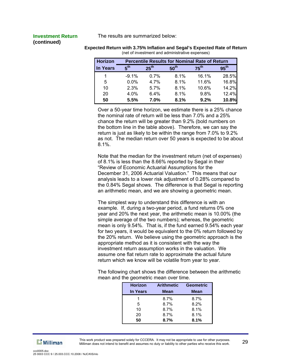The results are summarized below:

| <b>Horizon</b>  | <b>Percentile Results for Nominal Rate of Return</b> |                  |                  |                  |                  |
|-----------------|------------------------------------------------------|------------------|------------------|------------------|------------------|
| <b>In Years</b> | 5 <sup>th</sup>                                      | 25 <sup>th</sup> | 50 <sup>th</sup> | $75^{\text{th}}$ | $95^{\text{th}}$ |
| 1               | $-9.1\%$                                             | 0.7%             | 8.1%             | 16.1%            | 28.5%            |
| 5               | 0.0%                                                 | 4.7%             | 8.1%             | 11.6%            | 16.8%            |
| 10              | 2.3%                                                 | 5.7%             | 8.1%             | 10.6%            | 14.2%            |
| 20              | 4.0%                                                 | 6.4%             | 8.1%             | 9.8%             | 12.4%            |
| 50              | 5.5%                                                 | 7.0%             | 8.1%             | 9.2%             | 10.8%            |

**Expected Return with 3.75% Inflation and Segal's Expected Rate of Return**  (net of investment and administrative expenses)

Over a 50-year time horizon, we estimate there is a 25% chance the nominal rate of return will be less than 7.0% and a 25% chance the return will be greater than 9.2% (bold numbers on the bottom line in the table above). Therefore, we can say the return is just as likely to be within the range from 7.0% to 9.2% as not. The median return over 50 years is expected to be about 8.1%.

Note that the median for the investment return (net of expenses) of 8.1% is less than the 8.66% reported by Segal in their "Review of Economic Actuarial Assumptions for the December 31, 2006 Actuarial Valuation." This means that our analysis leads to a lower risk adjustment of 0.28% compared to the 0.84% Segal shows. The difference is that Segal is reporting an arithmetic mean, and we are showing a geometric mean.

The simplest way to understand this difference is with an example. If, during a two-year period, a fund returns 0% one year and 20% the next year, the arithmetic mean is 10.00% (the simple average of the two numbers); whereas, the geometric mean is only 9.54%. That is, if the fund earned 9.54% each year for two years, it would be equivalent to the 0% return followed by the 20% return. We believe using the geometric approach is the appropriate method as it is consistent with the way the investment return assumption works in the valuation. We assume one flat return rate to approximate the actual future return which we know will be volatile from year to year.

 The following chart shows the difference between the arithmetic mean and the geometric mean over time.

| <b>Horizon</b>  | <b>Arithmetic</b> | <b>Geometric</b> |
|-----------------|-------------------|------------------|
| <b>In Years</b> | <b>Mean</b>       | <b>Mean</b>      |
| 1               | $8.7\%$           | 8.7%             |
| 5               | 8.7%              | 8.2%             |
| 10              | $8.7\%$           | 8.1%             |
| 20              | 8.7%              | 8.1%             |
| 50              | 8.7%              | 8.1%             |



This work product was prepared solely for CCCERA. It may not be appropriate to use for other purposes. This work product was prepared solely for CCCERA. It may not be appropriate to use for other purposes.<br>Milliman does not intend to benefit and assumes no duty or liability to other parties who receive this work. 29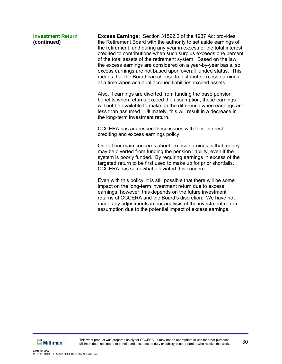**Excess Earnings:** Section 31592.2 of the 1937 Act provides the Retirement Board with the authority to set aside earnings of the retirement fund during any year in excess of the total interest credited to contributions when such surplus exceeds one percent of the total assets of the retirement system. Based on the law, the excess earnings are considered on a year-by-year basis, so excess earnings are not based upon overall funded status. This means that the Board can choose to distribute excess earnings at a time when actuarial accrued liabilities exceed assets.

Also, if earnings are diverted from funding the base pension benefits when returns exceed the assumption, these earnings will not be available to make up the difference when earnings are less than assumed. Ultimately, this will result in a decrease in the long-term investment return.

CCCERA has addressed these issues with their interest crediting and excess earnings policy.

 One of our main concerns about excess earnings is that money may be diverted from funding the pension liability, even if the system is poorly funded. By requiring earnings in excess of the targeted return to be first used to make up for prior shortfalls, CCCERA has somewhat alleviated this concern.

Even with this policy, it is still possible that there will be some impact on the long-term investment return due to excess earnings; however, this depends on the future investment returns of CCCERA and the Board's discretion. We have not made any adjustments in our analysis of the investment return assumption due to the potential impact of excess earnings.

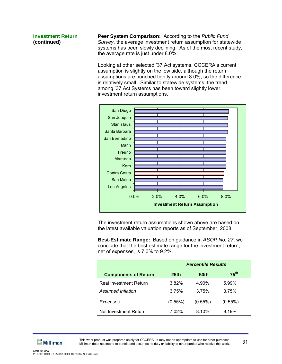**Peer System Comparison:** According to the *Public Fund Survey*, the average investment return assumption for statewide systems has been slowly declining. As of the most recent study, the average rate is just under 8.0%

Looking at other selected '37 Act systems, CCCERA's current assumption is slightly on the low side, although the return assumptions are bunched tightly around 8.0%, so the difference is relatively small. Similar to statewide systems, the trend among '37 Act Systems has been toward slightly lower investment return assumptions.



The investment return assumptions shown above are based on the latest available valuation reports as of September, 2008.

**Best-Estimate Range:** Based on guidance in *ASOP No. 27*, we conclude that the best estimate range for the investment return, net of expenses, is 7.0% to 9.2%.

|                               | <b>Percentile Results</b> |            |                  |
|-------------------------------|---------------------------|------------|------------------|
| <b>Components of Return</b>   | 25 <sub>th</sub>          | 50th       | $75^{\text{th}}$ |
| <b>Real Investment Return</b> | 3.82%                     | 4.90%      | 5.99%            |
| Assumed Inflation             | 3.75%                     | 3.75%      | 3.75%            |
| Expenses                      | $(0.55\%)$                | $(0.55\%)$ | $(0.55\%)$       |
| Net Investment Return         | 7.02%                     | 8.10%      | 9.19%            |



This work product was prepared solely for CCCERA. It may not be appropriate to use for other purposes. This work product was prepared solely for CCCERA. It may not be appropriate to use for other purposes.<br>Milliman does not intend to benefit and assumes no duty or liability to other parties who receive this work. 31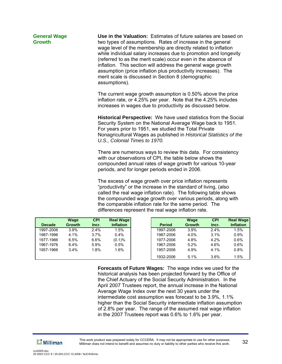| <b>General Wage</b> |  |
|---------------------|--|
| Growth              |  |

**Use in the Valuation:** Estimates of future salaries are based on two types of assumptions. Rates of increase in the general wage level of the membership are directly related to inflation while individual salary increases due to promotion and longevity (referred to as the merit scale) occur even in the absence of inflation. This section will address the general wage growth assumption (price inflation plus productivity increases). The merit scale is discussed in Section 8 (demographic assumptions).

The current wage growth assumption is 0.50% above the price inflation rate, or 4.25% per year. Note that the 4.25% includes increases in wages due to productivity as discussed below.

**Historical Perspective:** We have used statistics from the Social Security System on the National Average Wage back to 1951. For years prior to 1951, we studied the Total Private Nonagricultural Wages as published in *Historical Statistics of the U.S., Colonial Times to 1970.*

There are numerous ways to review this data. For consistency with our observations of CPI, the table below shows the compounded annual rates of wage growth for various 10-year periods, and for longer periods ended in 2006.

The excess of wage growth over price inflation represents "productivity" or the increase in the standard of living, (also called the real wage inflation rate). The following table shows the compounded wage growth over various periods, along with the comparable inflation rate for the same period. The differences represent the real wage inflation rate.

|               | Wage    | <b>CPI</b> | <b>Real Wage</b> |               | Wage          | <b>CPI</b> | <b>Real Wage</b> |
|---------------|---------|------------|------------------|---------------|---------------|------------|------------------|
| <b>Decade</b> | Growth  | Incr.      | <b>Inflation</b> | <b>Period</b> | <b>Growth</b> | Incr.      | <b>Inflation</b> |
| 1997-2006     | $3.9\%$ | $2.4\%$    | 1.5%             | 1997-2006     | 3.9%          | $2.4\%$    | 1.5%             |
| 1987-1996     | 4.1%    | $3.7\%$    | $0.4\%$          | 1987-2006     | 4.0%          | $3.1\%$    | 0.9%             |
| 1977-1986     | 6.5%    | 6.6%       | $(0.1)$ %        | 1977-2006     | 4.8%          | 4.2%       | 0.6%             |
| 1967-1976     | 6.4%    | 5.9%       | 0.5%             | 1967-2006     | 5.2%          | 4.6%       | 0.6%             |
| 1957-1966     | 3.4%    | 1.8%       | 1.6%             | 1957-2006     | 4.9%          | 4.1%       | 0.8%             |
|               |         |            |                  | 1932-2006     | 5.1%          | 3.6%       | 1.5%             |

**Forecasts of Future Wages:** The wage index we used for the historical analysis has been projected forward by the Office of the Chief Actuary of the Social Security Administration. In the April 2007 Trustees report, the annual increase in the National Average Wage Index over the next 30 years under the intermediate cost assumption was forecast to be 3.9%, 1.1% higher than the Social Security intermediate inflation assumption of 2.8% per year. The range of the assumed real wage inflation in the 2007 Trustees report was 0.6% to 1.6% per year.

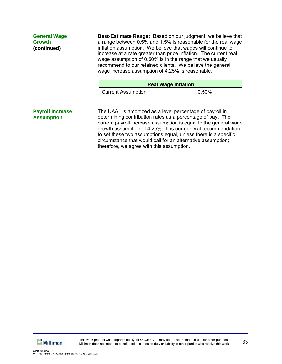| <b>General Wage</b><br><b>Growth</b><br>(continued) | <b>Best-Estimate Range:</b> Based on our judgment, we believe that<br>a range between 0.5% and 1.5% is reasonable for the real wage<br>inflation assumption. We believe that wages will continue to<br>increase at a rate greater than price inflation. The current real<br>wage assumption of 0.50% is in the range that we usually<br>recommend to our retained clients. We believe the general<br>wage increase assumption of 4.25% is reasonable. |       |
|-----------------------------------------------------|-------------------------------------------------------------------------------------------------------------------------------------------------------------------------------------------------------------------------------------------------------------------------------------------------------------------------------------------------------------------------------------------------------------------------------------------------------|-------|
|                                                     | <b>Real Wage Inflation</b>                                                                                                                                                                                                                                                                                                                                                                                                                            |       |
|                                                     | <b>Current Assumption</b>                                                                                                                                                                                                                                                                                                                                                                                                                             | 0.50% |
| <b>Payroll Increase</b><br><b>Assumption</b>        | The UAAL is amortized as a level percentage of payroll in<br>determining contribution rates as a percentage of pay. The<br>current payroll increase assumption is equal to the general wage<br>growth assumption of 4.25%. It is our general recommendation<br>to set these two assumptions equal, unless there is a specific<br>circumstance that would call for an alternative assumption;<br>therefore, we agree with this assumption.             |       |

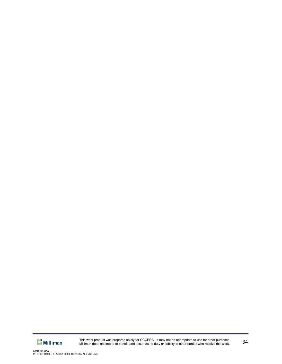

ccc0005.doc<br>25 0003 CCC 9 / 25.003.CCC.10.2008 / NJC/KIS/nlo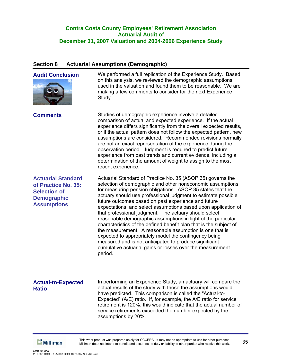# **Section 8 Actuarial Assumptions (Demographic)**



**Audit Conclusion** We performed a full replication of the Experience Study. Based on this analysis, we reviewed the demographic assumptions used in the valuation and found them to be reasonable. We are making a few comments to consider for the next Experience Study.

**Comments** Studies of demographic experience involve a detailed comparison of actual and expected experience. If the actual experience differs significantly from the overall expected results, or if the actual pattern does not follow the expected pattern, new assumptions are considered. Recommended revisions normally are not an exact representation of the experience during the observation period. Judgment is required to predict future experience from past trends and current evidence, including a determination of the amount of weight to assign to the most recent experience.

> Actuarial Standard of Practice No. 35 (ASOP 35) governs the selection of demographic and other noneconomic assumptions for measuring pension obligations. ASOP 35 states that the actuary should use professional judgment to estimate possible future outcomes based on past experience and future expectations, and select assumptions based upon application of that professional judgment. The actuary should select reasonable demographic assumptions in light of the particular characteristics of the defined benefit plan that is the subject of the measurement. A reasonable assumption is one that is expected to appropriately model the contingency being measured and is not anticipated to produce significant cumulative actuarial gains or losses over the measurement period.

# **Actual-to-Expected Ratio**

**Actuarial Standard of Practice No. 35:** 

**Selection of Demographic Assumptions**

> In performing an Experience Study, an actuary will compare the actual results of the study with those the assumptions would have predicted. This comparison is called the "Actual-to-Expected" (A/E) ratio. If, for example, the A/E ratio for service retirement is 120%, this would indicate that the actual number of service retirements exceeded the number expected by the assumptions by 20%.



This work product was prepared solely for CCCERA. It may not be appropriate to use for other purposes. This work product was prepared solely for CCCERA. It may not be appropriate to use for other purposes.<br>Milliman does not intend to benefit and assumes no duty or liability to other parties who receive this work. 35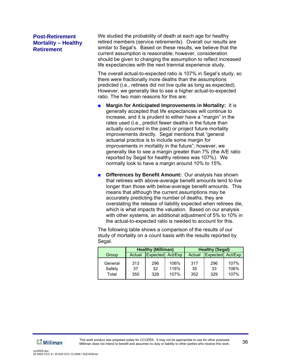# **Post-Retirement Mortality – Healthy Retirement**

We studied the probability of death at each age for healthy retired members (service retirements). Overall our results are similar to Segal's. Based on these results, we believe that the current assumption is reasonable; however, consideration should be given to changing the assumption to reflect increased life expectancies with the next triennial experience study.

The overall actual-to-expected ratio is 107% in Segal's study, so there were fractionally more deaths than the assumptions predicted (i.e., retirees did not live quite as long as expected). However, we generally like to see a higher actual-to-expected ratio. The two main reasons for this are:

- **Margin for Anticipated Improvements in Mortality: It is** generally accepted that life expectancies will continue to increase, and it is prudent to either have a "margin" in the rates used (i.e., predict fewer deaths in the future than actually occurred in the past) or project future mortality improvements directly. Segal mentions that "general actuarial practice is to include some margin for improvements in mortality in the future"; however, we generally like to see a margin greater than 7% (the A/E ratio reported by Segal for healthy retirees was 107%). We normally look to have a margin around 10% to 15%.
- **Differences by Benefit Amount:** Our analysis has shown that retirees with above-average benefit amounts tend to live longer than those with below-average benefit amounts. This means that although the current assumptions may be accurately predicting the number of deaths, they are overstating the release of liability expected when retirees die, which is what impacts the valuation. Based on our analysis with other systems, an additional adjustment of 5% to 10% in the actual-to-expected ratio is needed to account for this.

 The following table shows a comparison of the results of our study of mortality on a count basis with the results reported by Segal.

|                            | <b>Healthy (Milliman)</b> |                  |                      |                  | <b>Healthy (Segal)</b> |                      |
|----------------------------|---------------------------|------------------|----------------------|------------------|------------------------|----------------------|
| Group                      | Actual                    | Expected Act/Exp |                      | Actual           | Expected Act/Exp       |                      |
| General<br>Safety<br>Total | 313<br>37<br>350          | 296<br>32<br>328 | 106%<br>116%<br>107% | 317<br>35<br>352 | 296<br>33<br>329       | 107%<br>106%<br>107% |

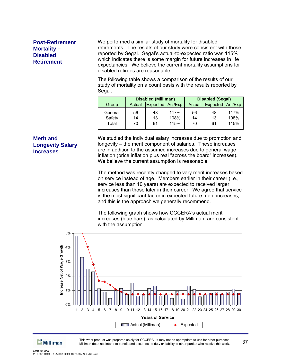# **Post-Retirement Mortality – Disabled Retirement**

 We performed a similar study of mortality for disabled retirements. The results of our study were consistent with those reported by Segal. Segal's actual-to-expected ratio was 115% which indicates there is some margin for future increases in life expectancies. We believe the current mortality assumptions for disabled retirees are reasonable.

The following table shows a comparison of the results of our study of mortality on a count basis with the results reported by Segal.

|                            | <b>Disabled (Milliman)</b> |                  |                      |                | <b>Disabled (Segal)</b> |                      |
|----------------------------|----------------------------|------------------|----------------------|----------------|-------------------------|----------------------|
| Group                      | Actual                     | Expected Act/Exp |                      | Actual         | <b>Expected</b>         | Act/Exp              |
| General<br>Safety<br>Total | 56<br>14<br>70             | 48<br>13<br>61   | 117%<br>108%<br>115% | 56<br>14<br>70 | 48<br>13<br>61          | 117%<br>108%<br>115% |

#### **Merit and Longevity Salary Increases**

 We studied the individual salary increases due to promotion and longevity – the merit component of salaries. These increases are in addition to the assumed increases due to general wage inflation (price inflation plus real "across the board" increases). We believe the current assumption is reasonable.

The method was recently changed to vary merit increases based on service instead of age. Members earlier in their career (i.e., service less than 10 years) are expected to received larger increases than those later in their career. We agree that service is the most significant factor in expected future merit increases, and this is the approach we generally recommend.

The following graph shows how CCCERA's actual merit increases (blue bars), as calculated by Milliman, are consistent with the assumption.





This work product was prepared solely for CCCERA. It may not be appropriate to use for other purposes. This work product was prepared solely for CCCERA. It may not be appropriate to use for other purposes.<br>Milliman does not intend to benefit and assumes no duty or liability to other parties who receive this work. 37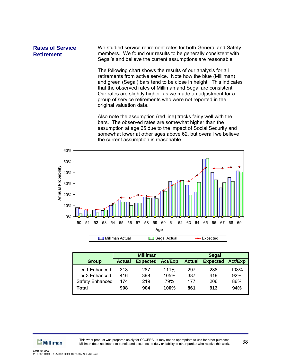#### **Rates of Service Retirement**

 We studied service retirement rates for both General and Safety members. We found our results to be generally consistent with Segal's and believe the current assumptions are reasonable.

The following chart shows the results of our analysis for all retirements from active service. Note how the blue (Milliman) and green (Segal) bars tend to be close in height. This indicates that the observed rates of Milliman and Segal are consistent. Our rates are slightly higher, as we made an adjustment for a group of service retirements who were not reported in the original valuation data.

Also note the assumption (red line) tracks fairly well with the bars. The observed rates are somewhat higher than the assumption at age 65 due to the impact of Social Security and somewhat lower at other ages above 62, but overall we believe the current assumption is reasonable.



|                        | <b>Milliman</b> |                 |             |               | <b>Segal</b>    |         |
|------------------------|-----------------|-----------------|-------------|---------------|-----------------|---------|
| <b>Group</b>           | <b>Actual</b>   | <b>Expected</b> | Act/Exp     | <b>Actual</b> | <b>Expected</b> | Act/Exp |
| Tier 1 Enhanced        | 318             | 287             | 111%        | 297           | 288             | 103%    |
| Tier 3 Enhanced        | 416             | 398<br>219      | 105%<br>79% | 387<br>177    | 419             | 92%     |
| <b>Safety Enhanced</b> | 174             |                 |             |               | 206             | 86%     |
| Total                  | 908             | 904             | 100%        | 861           | 913             | 94%     |

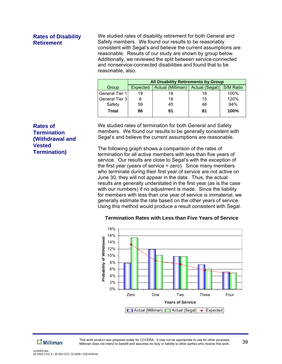# **Rates of Disability Retirement**

 We studied rates of disability retirement for both General and Safety members. We found our results to be reasonably consistent with Segal's and believe the current assumptions are reasonable. Results of our study are shown by group below. Additionally, we reviewed the split between service-connected and nonservice-connected disabilities and found that to be reasonable, also.

|                | <b>All Disability Retirements by Group</b> |                                    |    |                  |  |  |  |  |
|----------------|--------------------------------------------|------------------------------------|----|------------------|--|--|--|--|
| Group          | Expected                                   | Actual (Milliman)   Actual (Segal) |    | <b>S/M Ratio</b> |  |  |  |  |
| General Tier 1 | 19                                         | 18                                 | 18 | 100%             |  |  |  |  |
| General Tier 3 | 8                                          | 18                                 | 15 | 120%             |  |  |  |  |
| Safety         | 59                                         | 45                                 | 48 | 94%              |  |  |  |  |
| <b>Total</b>   | 86                                         | 81                                 | 81 | 100%             |  |  |  |  |

 We studied rates of termination for both General and Safety members. We found our results to be generally consistent with Segal's and believe the current assumptions are reasonable.

The following graph shows a comparison of the rates of termination for all active members with less than five years of service. Our results are close to Segal's with the exception of the first year (years of service = zero). Since many members who terminate during their first year of service are not active on June 30, they will not appear in the data. Thus, the actual results are generally understated in the first year (as is the case with our numbers) if no adjustment is made. Since the liability for members with less than one year of service is immaterial, we generally estimate the rate based on the other years of service. Using this method would produce a result consistent with Segal.

#### **Termination Rates with Less than Five Years of Service**



**Rates of Termination (Withdrawal and Vested Termination)**



This work product was prepared solely for CCCERA. It may not be appropriate to use for other purposes. This work product was prepared solely for CCCERA. It may not be appropriate to use for other purposes.<br>Milliman does not intend to benefit and assumes no duty or liability to other parties who receive this work. 39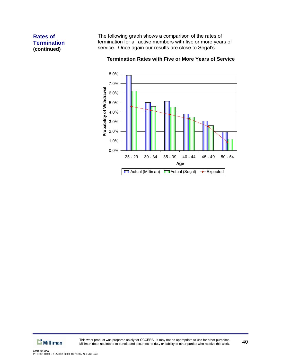# **Rates of Termination (continued)**

 The following graph shows a comparison of the rates of termination for all active members with five or more years of service. Once again our results are close to Segal's



#### **Termination Rates with Five or More Years of Service**



ccc0005.doc<br>25 0003 CCC 9 / 25.003.CCC.10.2008 / NJC/KIS/nlo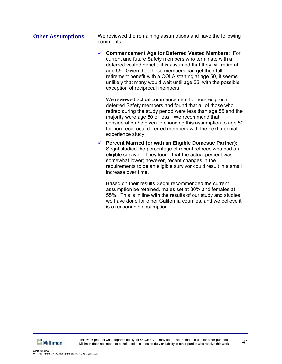**Other Assumptions** We reviewed the remaining assumptions and have the following comments:

> 9 **Commencement Age for Deferred Vested Members:** For current and future Safety members who terminate with a deferred vested benefit, it is assumed that they will retire at age 55. Given that these members can get their full retirement benefit with a COLA starting at age 50, it seems unlikely that many would wait until age 55, with the possible exception of reciprocal members.

We reviewed actual commencement for non-reciprocal deferred Safety members and found that all of those who retired during the study period were less than age 55 and the majority were age 50 or less. We recommend that consideration be given to changing this assumption to age 50 for non-reciprocal deferred members with the next triennial experience study.

9 **Percent Married (or with an Eligible Domestic Partner):** Segal studied the percentage of recent retirees who had an eligible survivor. They found that the actual percent was somewhat lower; however, recent changes in the requirements to be an eligible survivor could result in a small increase over time.

Based on their results Segal recommended the current assumption be retained, males set at 80% and females at 55%. This is in line with the results of our study and studies we have done for other California counties, and we believe it is a reasonable assumption.

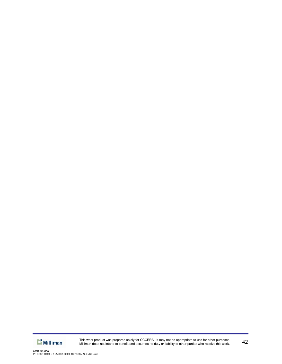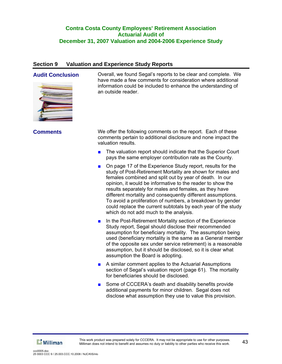### **Section 9 Valuation and Experience Study Reports**



**Audit Conclusion** Overall, we found Segal's reports to be clear and complete. We have made a few comments for consideration where additional information could be included to enhance the understanding of an outside reader.

**Comments** We offer the following comments on the report. Each of these comments pertain to additional disclosure and none impact the valuation results.

- The valuation report should indicate that the Superior Court pays the same employer contribution rate as the County.
- On page 17 of the Experience Study report, results for the study of Post-Retirement Mortality are shown for males and females combined and split out by year of death. In our opinion, it would be informative to the reader to show the results separately for males and females, as they have different mortality and consequently different assumptions. To avoid a proliferation of numbers, a breakdown by gender could replace the current subtotals by each year of the study which do not add much to the analysis.
- In the Post-Retirement Mortality section of the Experience Study report, Segal should disclose their recommended assumption for beneficiary mortality. The assumption being used (beneficiary mortality is the same as a General member of the opposite sex under service retirement) is a reasonable assumption, but it should be disclosed, so it is clear what assumption the Board is adopting.
- A similar comment applies to the Actuarial Assumptions section of Segal's valuation report (page 61). The mortality for beneficiaries should be disclosed.
- Some of CCCERA's death and disability benefits provide additional payments for minor children. Segal does not disclose what assumption they use to value this provision.

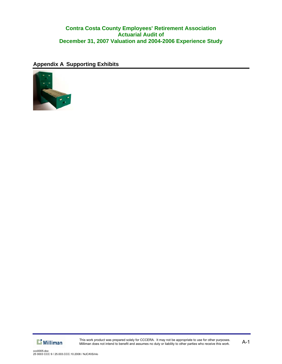# **Appendix A Supporting Exhibits**



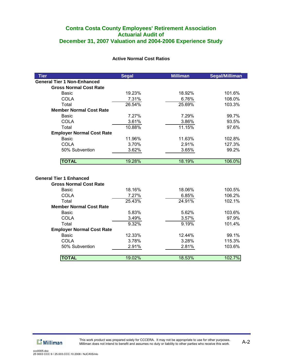| <b>Tier</b>                        | <b>Segal</b> | <b>Milliman</b> | <b>Segal/Milliman</b> |
|------------------------------------|--------------|-----------------|-----------------------|
| <b>General Tier 1 Non-Enhanced</b> |              |                 |                       |
| <b>Gross Normal Cost Rate</b>      |              |                 |                       |
| <b>Basic</b>                       | 19.23%       | 18.92%          | 101.6%                |
| <b>COLA</b>                        | 7.31%        | 6.76%           | 108.0%                |
| Total                              | 26.54%       | 25.69%          | 103.3%                |
| <b>Member Normal Cost Rate</b>     |              |                 |                       |
| <b>Basic</b>                       | 7.27%        | 7.29%           | 99.7%                 |
| <b>COLA</b>                        | 3.61%        | 3.86%           | 93.5%                 |
| Total                              | 10.88%       | 11.15%          | 97.6%                 |
| <b>Employer Normal Cost Rate</b>   |              |                 |                       |
| <b>Basic</b>                       | 11.96%       | 11.63%          | 102.8%                |
| <b>COLA</b>                        | 3.70%        | 2.91%           | 127.3%                |
| 50% Subvention                     | 3.62%        | 3.65%           | 99.2%                 |
|                                    |              |                 |                       |
| <b>TOTAL</b>                       | 19.28%       | 18.19%          | 106.0%                |
|                                    |              |                 |                       |
|                                    |              |                 |                       |
| <b>General Tier 1 Enhanced</b>     |              |                 |                       |
| <b>Gross Normal Cost Rate</b>      |              |                 |                       |
| <b>Basic</b>                       | 18.16%       | 18.06%          | 100.5%                |
| <b>COLA</b>                        | 7.27%        | 6.85%           | 106.2%                |
| Total                              | 25.43%       | 24.91%          | 102.1%                |
| <b>Member Normal Cost Rate</b>     |              |                 |                       |
| <b>Basic</b>                       | 5.83%        | 5.62%           | 103.6%                |
| <b>COLA</b>                        | 3.49%        | 3.57%           | 97.9%                 |
| Total                              | 9.32%        | 9.19%           | 101.4%                |
| <b>Employer Normal Cost Rate</b>   |              |                 |                       |
| <b>Basic</b>                       | 12.33%       | 12.44%          | 99.1%                 |
| <b>COLA</b>                        | 3.78%        | 3.28%           | 115.3%                |
| 50% Subvention                     | 2.91%        | 2.81%           | 103.6%                |
|                                    |              |                 |                       |
| <b>TOTAL</b>                       | 19.02%       | 18.53%          | 102.7%                |
|                                    |              |                 |                       |

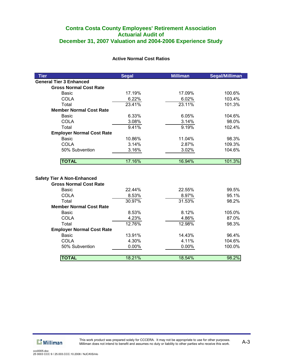| <b>Tier</b>                       | <b>Segal</b> | <b>Milliman</b> | <b>Segal/Milliman</b> |
|-----------------------------------|--------------|-----------------|-----------------------|
| <b>General Tier 3 Enhanced</b>    |              |                 |                       |
| <b>Gross Normal Cost Rate</b>     |              |                 |                       |
| Basic                             | 17.19%       | 17.09%          | 100.6%                |
| <b>COLA</b>                       | 6.22%        | 6.02%           | 103.4%                |
| Total                             | 23.41%       | 23.11%          | 101.3%                |
| <b>Member Normal Cost Rate</b>    |              |                 |                       |
| <b>Basic</b>                      | 6.33%        | 6.05%           | 104.6%                |
| <b>COLA</b>                       | 3.08%        | 3.14%           | 98.0%                 |
| Total                             | 9.41%        | 9.19%           | 102.4%                |
| <b>Employer Normal Cost Rate</b>  |              |                 |                       |
| <b>Basic</b>                      | 10.86%       | 11.04%          | 98.3%                 |
| <b>COLA</b>                       | 3.14%        | 2.87%           | 109.3%                |
| 50% Subvention                    | 3.16%        | 3.02%           | 104.6%                |
|                                   |              |                 |                       |
| <b>TOTAL</b>                      | 17.16%       | 16.94%          | 101.3%                |
|                                   |              |                 |                       |
|                                   |              |                 |                       |
| <b>Safety Tier A Non-Enhanced</b> |              |                 |                       |
| <b>Gross Normal Cost Rate</b>     |              |                 |                       |
| Basic                             | 22.44%       | 22.55%          | 99.5%                 |
| <b>COLA</b>                       | 8.53%        | 8.97%           | 95.1%                 |
| Total                             | 30.97%       | 31.53%          | 98.2%                 |
| <b>Member Normal Cost Rate</b>    |              |                 |                       |
| Basic                             | 8.53%        | 8.12%           | 105.0%                |
| <b>COLA</b>                       | 4.23%        | 4.86%           | 87.0%                 |
| Total                             | 12.76%       | 12.98%          | 98.3%                 |
| <b>Employer Normal Cost Rate</b>  |              |                 |                       |
| <b>Basic</b>                      | 13.91%       | 14.43%          | 96.4%                 |
| <b>COLA</b>                       | 4.30%        | 4.11%           | 104.6%                |
| 50% Subvention                    | 0.00%        | 0.00%           | 100.0%                |
|                                   |              |                 |                       |
| <b>TOTAL</b>                      | 18.21%       | 18.54%          | 98.2%                 |
|                                   |              |                 |                       |

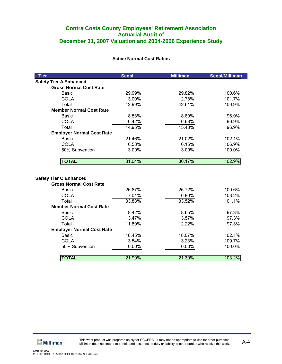| <b>Tier</b>                      | <b>Segal</b> | <b>Milliman</b> | <b>Segal/Milliman</b> |
|----------------------------------|--------------|-----------------|-----------------------|
| <b>Safety Tier A Enhanced</b>    |              |                 |                       |
| <b>Gross Normal Cost Rate</b>    |              |                 |                       |
| <b>Basic</b>                     | 29.99%       | 29.82%          | 100.6%                |
| <b>COLA</b>                      | 13.00%       | 12.78%          | 101.7%                |
| Total                            | 42.99%       | 42.61%          | 100.9%                |
| <b>Member Normal Cost Rate</b>   |              |                 |                       |
| <b>Basic</b>                     | 8.53%        | 8.80%           | 96.9%                 |
| <b>COLA</b>                      | 6.42%        | 6.63%           | 96.9%                 |
| Total                            | 14.95%       | 15.43%          | 96.9%                 |
| <b>Employer Normal Cost Rate</b> |              |                 |                       |
| <b>Basic</b>                     | 21.46%       | 21.02%          | 102.1%                |
| <b>COLA</b>                      | 6.58%        | 6.15%           | 106.9%                |
| 50% Subvention                   | 3.00%        | 3.00%           | 100.0%                |
|                                  |              |                 |                       |
| <b>TOTAL</b>                     | 31.04%       | 30.17%          | 102.9%                |
|                                  |              |                 |                       |
|                                  |              |                 |                       |
| <b>Safety Tier C Enhanced</b>    |              |                 |                       |
| <b>Gross Normal Cost Rate</b>    |              |                 |                       |
| <b>Basic</b>                     | 26.87%       | 26.72%          | 100.6%                |
| <b>COLA</b>                      | 7.01%        | 6.80%           | 103.2%                |
| Total                            | 33.88%       | 33.52%          | 101.1%                |
| <b>Member Normal Cost Rate</b>   |              |                 |                       |
| <b>Basic</b>                     | 8.42%        | 8.65%           | 97.3%                 |
| <b>COLA</b>                      | 3.47%        | 3.57%           | 97.3%                 |
| Total                            | 11.89%       | 12.22%          | 97.3%                 |
| <b>Employer Normal Cost Rate</b> |              |                 |                       |
| <b>Basic</b>                     | 18.45%       | 18.07%          | 102.1%                |
| <b>COLA</b>                      | 3.54%        | 3.23%           | 109.7%                |
| 50% Subvention                   | $0.00\%$     | $0.00\%$        | 100.0%                |
|                                  |              |                 |                       |
| <b>TOTAL</b>                     | 21.99%       | 21.30%          | 103.2%                |
|                                  |              |                 |                       |